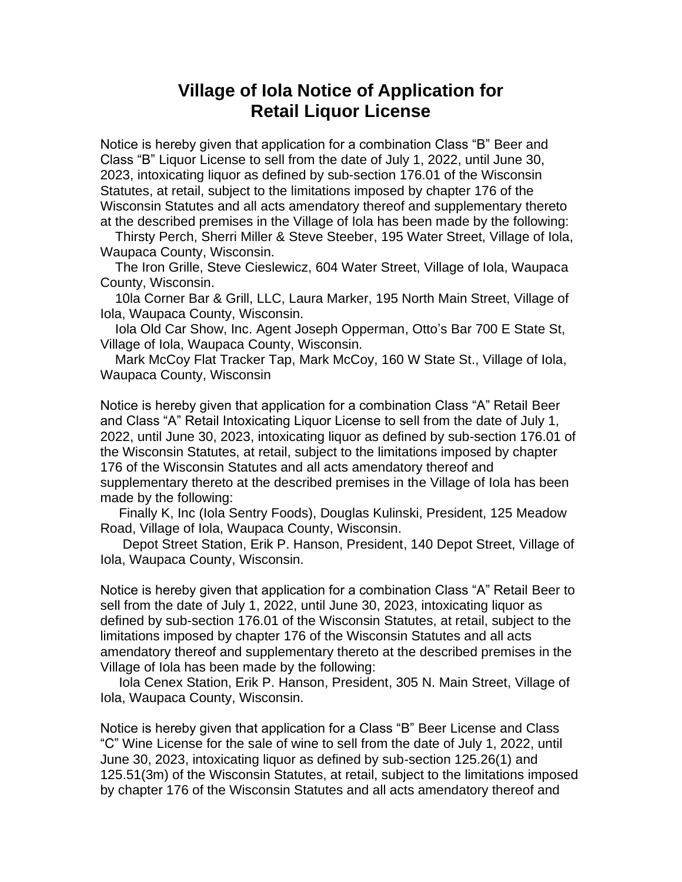## **Village of Iola Notice of Application for Retail Liquor License**

Notice is hereby given that application for a combination Class "B" Beer and Class "B" Liquor License to sell from the date of July 1, 2022, until June 30, 2023, intoxicating liquor as defined by sub-section 176.01 of the Wisconsin Statutes, at retail, subject to the limitations imposed by chapter 176 of the Wisconsin Statutes and all acts amendatory thereof and supplementary thereto at the described premises in the Village of Iola has been made by the following:

 Thirsty Perch, Sherri Miller & Steve Steeber, 195 Water Street, Village of Iola, Waupaca County, Wisconsin.

 The Iron Grille, Steve Cieslewicz, 604 Water Street, Village of Iola, Waupaca County, Wisconsin.

 10la Corner Bar & Grill, LLC, Laura Marker, 195 North Main Street, Village of Iola, Waupaca County, Wisconsin.

 Iola Old Car Show, Inc. Agent Joseph Opperman, Otto's Bar 700 E State St, Village of Iola, Waupaca County, Wisconsin.

 Mark McCoy Flat Tracker Tap, Mark McCoy, 160 W State St., Village of Iola, Waupaca County, Wisconsin

Notice is hereby given that application for a combination Class "A" Retail Beer and Class "A" Retail Intoxicating Liquor License to sell from the date of July 1, 2022, until June 30, 2023, intoxicating liquor as defined by sub-section 176.01 of the Wisconsin Statutes, at retail, subject to the limitations imposed by chapter 176 of the Wisconsin Statutes and all acts amendatory thereof and supplementary thereto at the described premises in the Village of Iola has been made by the following:

 Finally K, Inc (Iola Sentry Foods), Douglas Kulinski, President, 125 Meadow Road, Village of Iola, Waupaca County, Wisconsin.

 Depot Street Station, Erik P. Hanson, President, 140 Depot Street, Village of Iola, Waupaca County, Wisconsin.

Notice is hereby given that application for a combination Class "A" Retail Beer to sell from the date of July 1, 2022, until June 30, 2023, intoxicating liquor as defined by sub-section 176.01 of the Wisconsin Statutes, at retail, subject to the limitations imposed by chapter 176 of the Wisconsin Statutes and all acts amendatory thereof and supplementary thereto at the described premises in the Village of Iola has been made by the following:

 Iola Cenex Station, Erik P. Hanson, President, 305 N. Main Street, Village of Iola, Waupaca County, Wisconsin.

Notice is hereby given that application for a Class "B" Beer License and Class "C" Wine License for the sale of wine to sell from the date of July 1, 2022, until June 30, 2023, intoxicating liquor as defined by sub-section 125.26(1) and 125.51(3m) of the Wisconsin Statutes, at retail, subject to the limitations imposed by chapter 176 of the Wisconsin Statutes and all acts amendatory thereof and